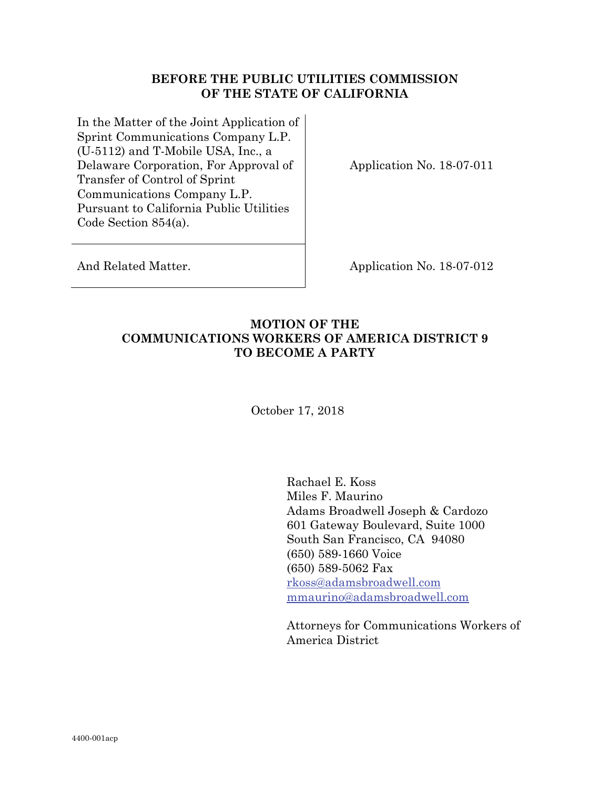### **BEFORE THE PUBLIC UTILITIES COMMISSION OF THE STATE OF CALIFORNIA**

In the Matter of the Joint Application of Sprint Communications Company L.P. (U-5112) and T-Mobile USA, Inc., a Delaware Corporation, For Approval of Transfer of Control of Sprint Communications Company L.P. Pursuant to California Public Utilities Code Section 854(a).

Application No. 18-07-011

And Related Matter. Application No. 18-07-012

# **MOTION OF THE COMMUNICATIONS WORKERS OF AMERICA DISTRICT 9 TO BECOME A PARTY**

October 17, 2018

Rachael E. Koss Miles F. Maurino Adams Broadwell Joseph & Cardozo 601 Gateway Boulevard, Suite 1000 South San Francisco, CA 94080 (650) 589-1660 Voice (650) 589-5062 Fax rkoss@adamsbroadwell.com mmaurino@adamsbroadwell.com

Attorneys for Communications Workers of America District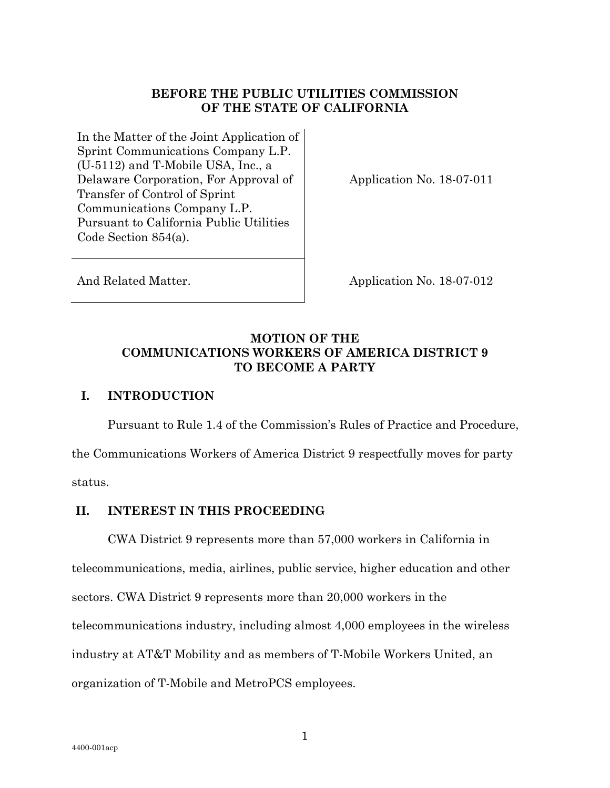## **BEFORE THE PUBLIC UTILITIES COMMISSION OF THE STATE OF CALIFORNIA**

In the Matter of the Joint Application of Sprint Communications Company L.P. (U-5112) and T-Mobile USA, Inc., a Delaware Corporation, For Approval of Transfer of Control of Sprint Communications Company L.P. Pursuant to California Public Utilities Code Section 854(a).

Application No. 18-07-011

And Related Matter. Application No. 18-07-012

# **MOTION OF THE COMMUNICATIONS WORKERS OF AMERICA DISTRICT 9 TO BECOME A PARTY**

### **I. INTRODUCTION**

Pursuant to Rule 1.4 of the Commission's Rules of Practice and Procedure, the Communications Workers of America District 9 respectfully moves for party

status.

## **II. INTEREST IN THIS PROCEEDING**

 CWA District 9 represents more than 57,000 workers in California in telecommunications, media, airlines, public service, higher education and other sectors. CWA District 9 represents more than 20,000 workers in the telecommunications industry, including almost 4,000 employees in the wireless industry at AT&T Mobility and as members of T-Mobile Workers United, an organization of T-Mobile and MetroPCS employees.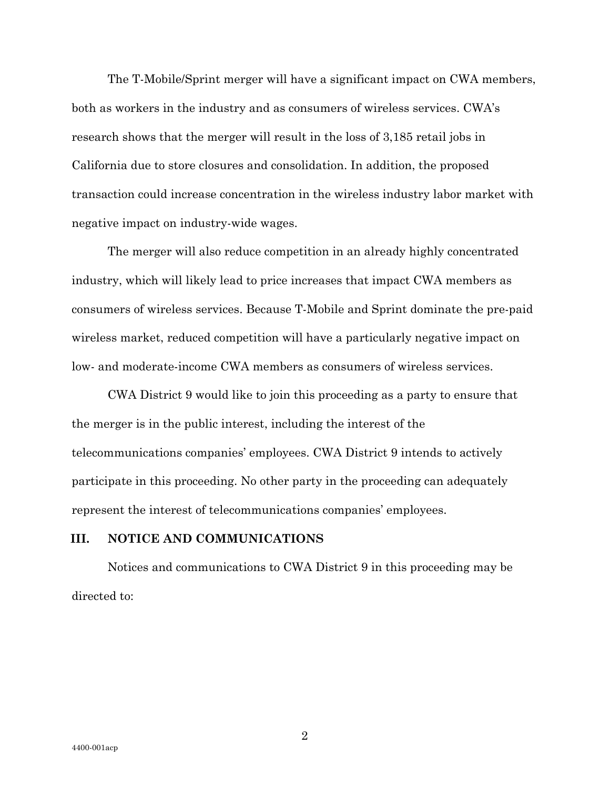The T-Mobile/Sprint merger will have a significant impact on CWA members, both as workers in the industry and as consumers of wireless services. CWA's research shows that the merger will result in the loss of 3,185 retail jobs in California due to store closures and consolidation. In addition, the proposed transaction could increase concentration in the wireless industry labor market with negative impact on industry-wide wages.

The merger will also reduce competition in an already highly concentrated industry, which will likely lead to price increases that impact CWA members as consumers of wireless services. Because T-Mobile and Sprint dominate the pre-paid wireless market, reduced competition will have a particularly negative impact on low- and moderate-income CWA members as consumers of wireless services.

CWA District 9 would like to join this proceeding as a party to ensure that the merger is in the public interest, including the interest of the telecommunications companies' employees. CWA District 9 intends to actively participate in this proceeding. No other party in the proceeding can adequately represent the interest of telecommunications companies' employees.

#### **III. NOTICE AND COMMUNICATIONS**

Notices and communications to CWA District 9 in this proceeding may be directed to:

2